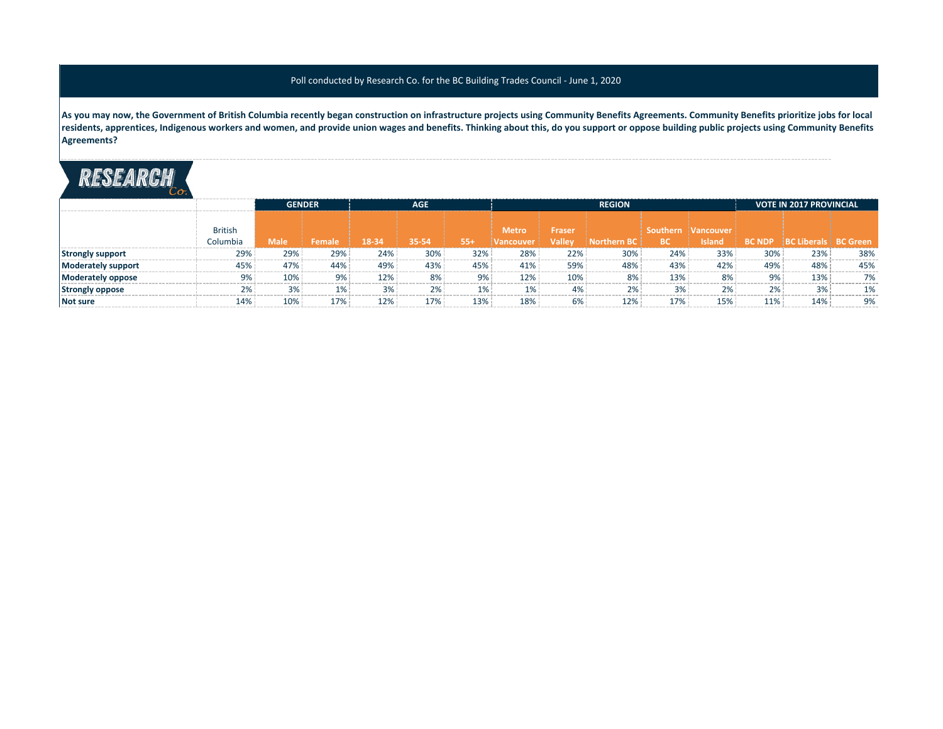## Poll conducted by Research Co. for the BC Building Trades Council - June 1, 2020

**As you may now, the Government of British Columbia recently began construction on infrastructure projects using Community Benefits Agreements. Community Benefits prioritize jobs for local residents, apprentices, Indigenous workers and women, and provide union wages and benefits. Thinking about this, do you support or oppose building public projects using Community Benefits Agreements?**

## RESEARCH

|                           |                | <b>GENDER</b> |               | <b>AGE</b> |       |       |            | <b>REGION</b> | <b>VOTE IN 2017 PROVINCIAL</b> |           |               |     |                                    |     |
|---------------------------|----------------|---------------|---------------|------------|-------|-------|------------|---------------|--------------------------------|-----------|---------------|-----|------------------------------------|-----|
|                           |                |               |               |            |       |       |            |               |                                |           |               |     |                                    |     |
|                           | <b>British</b> |               |               |            |       |       | Metro      | <b>Fraser</b> |                                | Southern  | i Vancouvei   |     |                                    |     |
|                           | Columbia       | <b>Male</b>   | <b>Female</b> | 18-34      | 35-54 | $55+$ | !Vancouver | <b>Valley</b> | <b>Northern BC</b>             | <b>BC</b> | <b>Island</b> |     | <b>BC NDP BC Liberals BC Green</b> |     |
| <b>Strongly support</b>   | 29%            | 29%           | 29%           | 24%        | 30%   | 32%   | 28%        | 22%           | 30%                            | 24%       | 33%           | 30% | 23%                                | 38% |
| <b>Moderately support</b> | 45%            | 47%           | 44%           | 49%        | 43%   | 45%   | 41%        | 59%           | 48%                            | 43%       | 42%           | 49% | 48%                                | 45% |
| Moderately oppose         | 9%             | 10%           | 9%            | 12%        | 8%    | 9%    | 12%        | 10%           | 8%                             | 13%       | 8%            | 9%  | 13%                                | 7%  |
| <b>Strongly oppose</b>    | 2%             | 3%            | $1\%$         | 3%         | 2%    | 1%    | 1%         | 4%            | 2%                             | 3%        | 2%            | 2%  | 3%                                 | 1 % |
| <b>Not sure</b>           | 14%            | 10%           | 17%           | 12%        | 17%   | 13%   | 18%        | 6%            | 12%                            | 17%       | 15%           | 11% | 14%                                | 9%  |